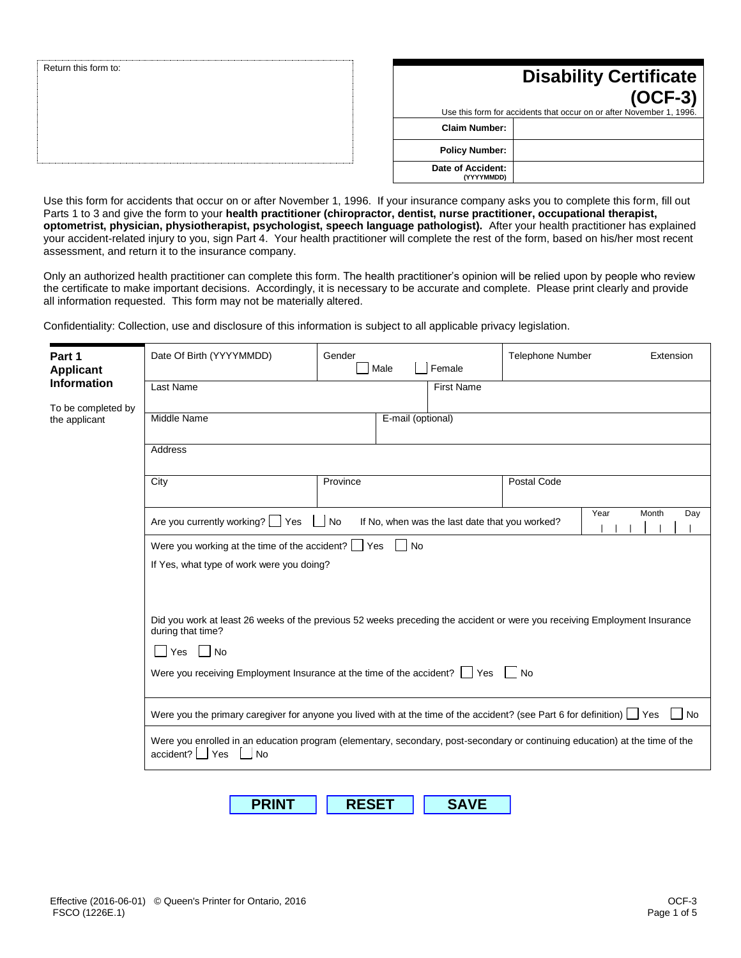| Return this form to: |                                 | <b>Disability Certificate</b><br>$(OCF-3)$                           |
|----------------------|---------------------------------|----------------------------------------------------------------------|
|                      |                                 | Use this form for accidents that occur on or after November 1, 1996. |
|                      | <b>Claim Number:</b>            |                                                                      |
|                      | <b>Policy Number:</b>           |                                                                      |
|                      | Date of Accident:<br>(YYYYMMDD) |                                                                      |

Use this form for accidents that occur on or after November 1, 1996. If your insurance company asks you to complete this form, fill out Parts 1 to 3 and give the form to your **health practitioner (chiropractor, dentist, nurse practitioner, occupational therapist, optometrist, physician, physiotherapist, psychologist, speech language pathologist).** After your health practitioner has explained your accident-related injury to you, sign Part 4. Your health practitioner will complete the rest of the form, based on his/her most recent assessment, and return it to the insurance company.

Only an authorized health practitioner can complete this form. The health practitioner's opinion will be relied upon by people who review the certificate to make important decisions. Accordingly, it is necessary to be accurate and complete. Please print clearly and provide all information requested. This form may not be materially altered.

Confidentiality: Collection, use and disclosure of this information is subject to all applicable privacy legislation.

| Part 1<br><b>Applicant</b>          | Date Of Birth (YYYYMMDD)                                                                                                                             | Gender<br>Male    | Female            | <b>Telephone Number</b> | Extension |  |
|-------------------------------------|------------------------------------------------------------------------------------------------------------------------------------------------------|-------------------|-------------------|-------------------------|-----------|--|
| <b>Information</b>                  | Last Name                                                                                                                                            |                   | <b>First Name</b> |                         |           |  |
| To be completed by<br>the applicant | Middle Name                                                                                                                                          | E-mail (optional) |                   |                         |           |  |
|                                     |                                                                                                                                                      |                   |                   |                         |           |  |
|                                     | Address                                                                                                                                              |                   |                   |                         |           |  |
|                                     | City                                                                                                                                                 | Province          |                   | <b>Postal Code</b>      |           |  |
|                                     | Month<br>Year<br>Day<br>Are you currently working?   Yes<br><b>No</b><br>If No, when was the last date that you worked?                              |                   |                   |                         |           |  |
|                                     | No<br>Were you working at the time of the accident? $\Box$ Yes                                                                                       |                   |                   |                         |           |  |
|                                     | If Yes, what type of work were you doing?                                                                                                            |                   |                   |                         |           |  |
|                                     |                                                                                                                                                      |                   |                   |                         |           |  |
|                                     | Did you work at least 26 weeks of the previous 52 weeks preceding the accident or were you receiving Employment Insurance<br>during that time?       |                   |                   |                         |           |  |
|                                     | Yes   No                                                                                                                                             |                   |                   |                         |           |  |
|                                     | Were you receiving Employment Insurance at the time of the accident? $\vert$ Yes $\vert$ No                                                          |                   |                   |                         |           |  |
|                                     | Were you the primary caregiver for anyone you lived with at the time of the accident? (see Part 6 for definition) $\Box$ Yes<br>No.                  |                   |                   |                         |           |  |
|                                     | Were you enrolled in an education program (elementary, secondary, post-secondary or continuing education) at the time of the<br>accident?   Yes   No |                   |                   |                         |           |  |
|                                     |                                                                                                                                                      |                   |                   |                         |           |  |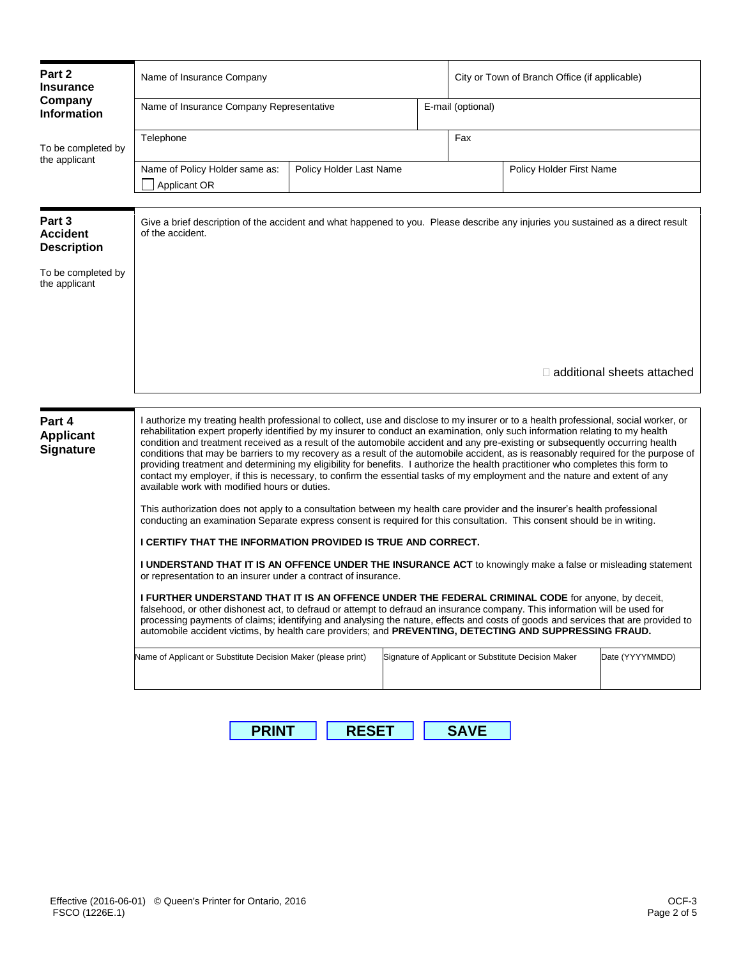| Part 2<br>Insurance                                                                                                  | Name of Insurance Company                                                                                                                                                                                                                                                                                                                                                                                                                                                                                                                                                                                                                                                                                                                                                                                                                                                                                                                                                                                                                                                                                                                                                                                                                                                                                                                                                                                                                                                                                                                                                                                                                                                                                                                                                                                                                                         |  |  | City or Town of Branch Office (if applicable) |                          |                              |  |
|----------------------------------------------------------------------------------------------------------------------|-------------------------------------------------------------------------------------------------------------------------------------------------------------------------------------------------------------------------------------------------------------------------------------------------------------------------------------------------------------------------------------------------------------------------------------------------------------------------------------------------------------------------------------------------------------------------------------------------------------------------------------------------------------------------------------------------------------------------------------------------------------------------------------------------------------------------------------------------------------------------------------------------------------------------------------------------------------------------------------------------------------------------------------------------------------------------------------------------------------------------------------------------------------------------------------------------------------------------------------------------------------------------------------------------------------------------------------------------------------------------------------------------------------------------------------------------------------------------------------------------------------------------------------------------------------------------------------------------------------------------------------------------------------------------------------------------------------------------------------------------------------------------------------------------------------------------------------------------------------------|--|--|-----------------------------------------------|--------------------------|------------------------------|--|
| Company<br><b>Information</b>                                                                                        | Name of Insurance Company Representative                                                                                                                                                                                                                                                                                                                                                                                                                                                                                                                                                                                                                                                                                                                                                                                                                                                                                                                                                                                                                                                                                                                                                                                                                                                                                                                                                                                                                                                                                                                                                                                                                                                                                                                                                                                                                          |  |  | E-mail (optional)                             |                          |                              |  |
| To be completed by<br>the applicant                                                                                  | Telephone                                                                                                                                                                                                                                                                                                                                                                                                                                                                                                                                                                                                                                                                                                                                                                                                                                                                                                                                                                                                                                                                                                                                                                                                                                                                                                                                                                                                                                                                                                                                                                                                                                                                                                                                                                                                                                                         |  |  | Fax                                           |                          |                              |  |
|                                                                                                                      | Name of Policy Holder same as:<br>Policy Holder Last Name<br>Applicant OR                                                                                                                                                                                                                                                                                                                                                                                                                                                                                                                                                                                                                                                                                                                                                                                                                                                                                                                                                                                                                                                                                                                                                                                                                                                                                                                                                                                                                                                                                                                                                                                                                                                                                                                                                                                         |  |  |                                               | Policy Holder First Name |                              |  |
| Part 3<br><b>Accident</b><br><b>Description</b>                                                                      | Give a brief description of the accident and what happened to you. Please describe any injuries you sustained as a direct result<br>of the accident.                                                                                                                                                                                                                                                                                                                                                                                                                                                                                                                                                                                                                                                                                                                                                                                                                                                                                                                                                                                                                                                                                                                                                                                                                                                                                                                                                                                                                                                                                                                                                                                                                                                                                                              |  |  |                                               |                          |                              |  |
| To be completed by<br>the applicant                                                                                  |                                                                                                                                                                                                                                                                                                                                                                                                                                                                                                                                                                                                                                                                                                                                                                                                                                                                                                                                                                                                                                                                                                                                                                                                                                                                                                                                                                                                                                                                                                                                                                                                                                                                                                                                                                                                                                                                   |  |  |                                               |                          |                              |  |
|                                                                                                                      |                                                                                                                                                                                                                                                                                                                                                                                                                                                                                                                                                                                                                                                                                                                                                                                                                                                                                                                                                                                                                                                                                                                                                                                                                                                                                                                                                                                                                                                                                                                                                                                                                                                                                                                                                                                                                                                                   |  |  |                                               |                          |                              |  |
|                                                                                                                      |                                                                                                                                                                                                                                                                                                                                                                                                                                                                                                                                                                                                                                                                                                                                                                                                                                                                                                                                                                                                                                                                                                                                                                                                                                                                                                                                                                                                                                                                                                                                                                                                                                                                                                                                                                                                                                                                   |  |  |                                               |                          | □ additional sheets attached |  |
| Part 4<br><b>Applicant</b><br><b>Signature</b>                                                                       | I authorize my treating health professional to collect, use and disclose to my insurer or to a health professional, social worker, or<br>rehabilitation expert properly identified by my insurer to conduct an examination, only such information relating to my health<br>condition and treatment received as a result of the automobile accident and any pre-existing or subsequently occurring health<br>conditions that may be barriers to my recovery as a result of the automobile accident, as is reasonably required for the purpose of<br>providing treatment and determining my eligibility for benefits. I authorize the health practitioner who completes this form to<br>contact my employer, if this is necessary, to confirm the essential tasks of my employment and the nature and extent of any<br>available work with modified hours or duties.<br>This authorization does not apply to a consultation between my health care provider and the insurer's health professional<br>conducting an examination Separate express consent is required for this consultation. This consent should be in writing.<br>I CERTIFY THAT THE INFORMATION PROVIDED IS TRUE AND CORRECT.<br>I UNDERSTAND THAT IT IS AN OFFENCE UNDER THE INSURANCE ACT to knowingly make a false or misleading statement<br>or representation to an insurer under a contract of insurance.<br>I FURTHER UNDERSTAND THAT IT IS AN OFFENCE UNDER THE FEDERAL CRIMINAL CODE for anyone, by deceit,<br>falsehood, or other dishonest act, to defraud or attempt to defraud an insurance company. This information will be used for<br>processing payments of claims; identifying and analysing the nature, effects and costs of goods and services that are provided to<br>automobile accident victims, by health care providers; and PREVENTING, DETECTING AND SUPPRESSING FRAUD. |  |  |                                               |                          |                              |  |
|                                                                                                                      |                                                                                                                                                                                                                                                                                                                                                                                                                                                                                                                                                                                                                                                                                                                                                                                                                                                                                                                                                                                                                                                                                                                                                                                                                                                                                                                                                                                                                                                                                                                                                                                                                                                                                                                                                                                                                                                                   |  |  |                                               |                          |                              |  |
| Name of Applicant or Substitute Decision Maker (please print)<br>Signature of Applicant or Substitute Decision Maker |                                                                                                                                                                                                                                                                                                                                                                                                                                                                                                                                                                                                                                                                                                                                                                                                                                                                                                                                                                                                                                                                                                                                                                                                                                                                                                                                                                                                                                                                                                                                                                                                                                                                                                                                                                                                                                                                   |  |  |                                               | Date (YYYYMMDD)          |                              |  |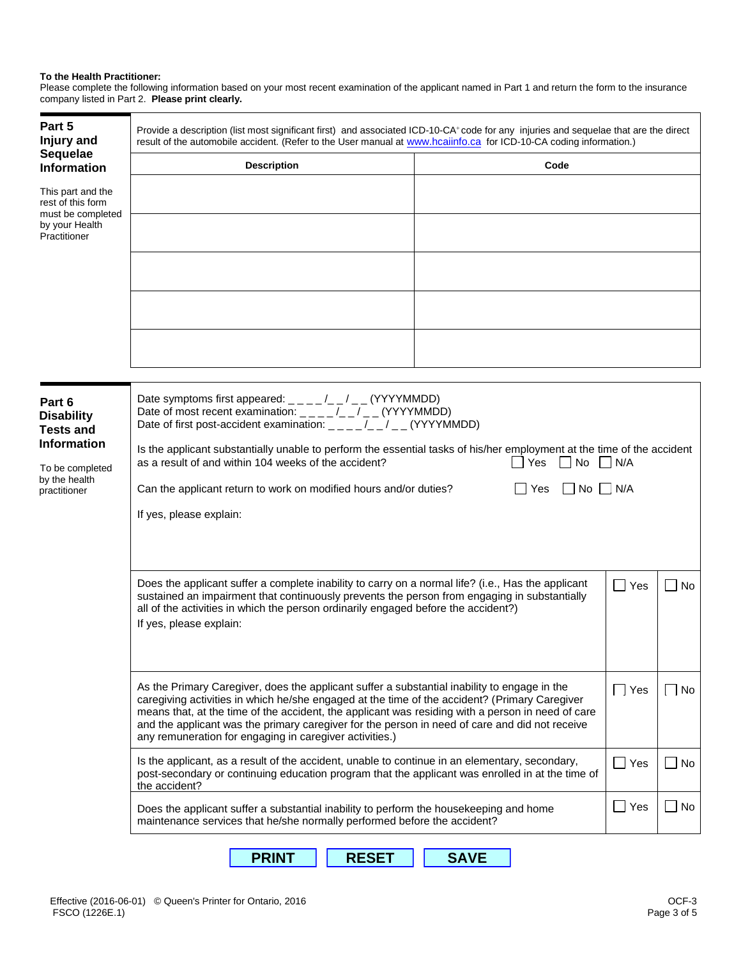## **To the Health Practitioner:**

Please complete the following information based on your most recent examination of the applicant named in Part 1 and return the form to the insurance company listed in Part 2. **Please print clearly.**

| Part 5<br>Injury and                                                                                                      | Provide a description (list most significant first) and associated ICD-10-CA <sup>+</sup> code for any injuries and sequelae that are the direct<br>result of the automobile accident. (Refer to the User manual at www.hcaiinfo.ca for ICD-10-CA coding information.)                                                                                                                                                                                                                                                                                                      |               |                      |  |  |  |  |
|---------------------------------------------------------------------------------------------------------------------------|-----------------------------------------------------------------------------------------------------------------------------------------------------------------------------------------------------------------------------------------------------------------------------------------------------------------------------------------------------------------------------------------------------------------------------------------------------------------------------------------------------------------------------------------------------------------------------|---------------|----------------------|--|--|--|--|
| Sequelae<br><b>Information</b>                                                                                            | <b>Description</b><br>Code                                                                                                                                                                                                                                                                                                                                                                                                                                                                                                                                                  |               |                      |  |  |  |  |
| This part and the<br>rest of this form<br>must be completed<br>by your Health<br>Practitioner                             |                                                                                                                                                                                                                                                                                                                                                                                                                                                                                                                                                                             |               |                      |  |  |  |  |
|                                                                                                                           |                                                                                                                                                                                                                                                                                                                                                                                                                                                                                                                                                                             |               |                      |  |  |  |  |
| Part 6<br><b>Disability</b><br><b>Tests and</b><br><b>Information</b><br>To be completed<br>by the health<br>practitioner | Date symptoms first appeared: ____/__/__(YYYYMMDD)<br>Date of most recent examination: ____/_/_/__(YYYYMMDD)<br>Date of first post-accident examination: $\frac{1}{2}$ $\frac{1}{2}$ $\frac{1}{2}$ $\frac{1}{2}$ (YYYYMMDD)<br>Is the applicant substantially unable to perform the essential tasks of his/her employment at the time of the accident<br>$\Box$ No $\Box$ N/A<br>as a result of and within 104 weeks of the accident?<br>Yes<br>$\Box$ No $\Box$ N/A<br>Can the applicant return to work on modified hours and/or duties?<br>Yes<br>If yes, please explain: |               |                      |  |  |  |  |
|                                                                                                                           | Does the applicant suffer a complete inability to carry on a normal life? (i.e., Has the applicant<br>sustained an impairment that continuously prevents the person from engaging in substantially<br>all of the activities in which the person ordinarily engaged before the accident?)<br>If yes, please explain:                                                                                                                                                                                                                                                         | $\Box$<br>Yes | $\sim$<br>No         |  |  |  |  |
|                                                                                                                           | As the Primary Caregiver, does the applicant suffer a substantial inability to engage in the<br>caregiving activities in which he/she engaged at the time of the accident? (Primary Caregiver<br>means that, at the time of the accident, the applicant was residing with a person in need of care<br>and the applicant was the primary caregiver for the person in need of care and did not receive<br>any remuneration for engaging in caregiver activities.)                                                                                                             | $\Box$ Yes    | No<br>$\blacksquare$ |  |  |  |  |
|                                                                                                                           | Is the applicant, as a result of the accident, unable to continue in an elementary, secondary,<br>post-secondary or continuing education program that the applicant was enrolled in at the time of<br>the accident?                                                                                                                                                                                                                                                                                                                                                         | $\Box$ Yes    | No<br>$\sim$         |  |  |  |  |
|                                                                                                                           | Does the applicant suffer a substantial inability to perform the housekeeping and home<br>maintenance services that he/she normally performed before the accident?                                                                                                                                                                                                                                                                                                                                                                                                          | $\Box$ Yes    | No<br>$\sim$         |  |  |  |  |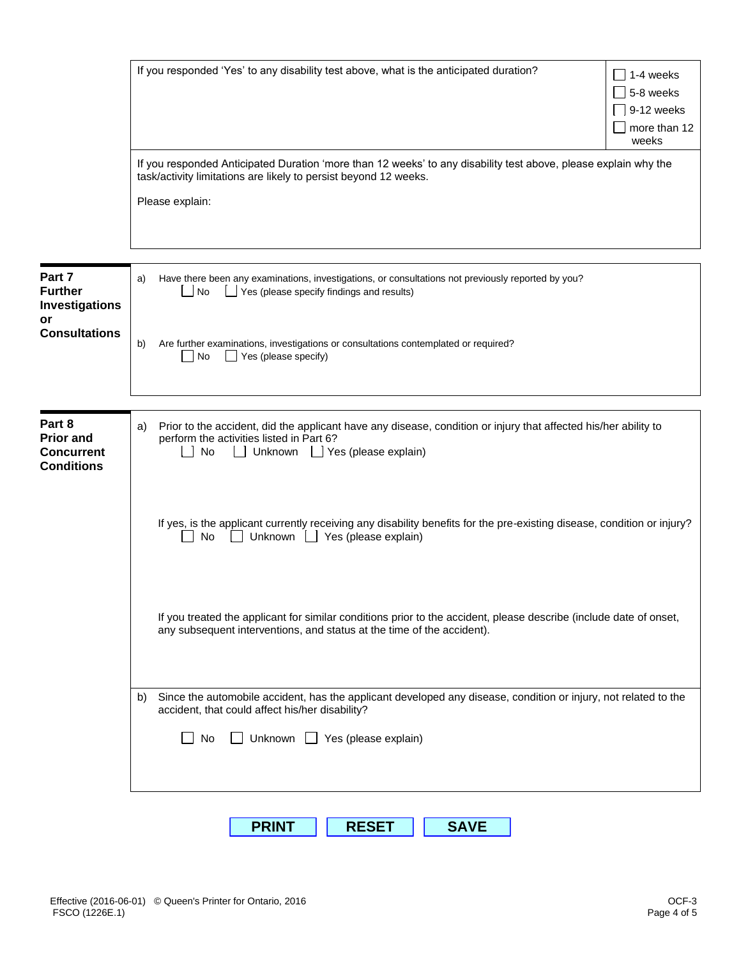|                                                                      | If you responded 'Yes' to any disability test above, what is the anticipated duration?<br>1-4 weeks<br>5-8 weeks<br>9-12 weeks<br>more than 12<br>weeks                                                          |  |  |  |  |  |
|----------------------------------------------------------------------|------------------------------------------------------------------------------------------------------------------------------------------------------------------------------------------------------------------|--|--|--|--|--|
|                                                                      | If you responded Anticipated Duration 'more than 12 weeks' to any disability test above, please explain why the<br>task/activity limitations are likely to persist beyond 12 weeks.<br>Please explain:           |  |  |  |  |  |
| Part 7<br><b>Further</b><br><b>Investigations</b><br>or              | Have there been any examinations, investigations, or consultations not previously reported by you?<br>a)<br>Yes (please specify findings and results)<br><b>No</b>                                               |  |  |  |  |  |
| <b>Consultations</b>                                                 | Are further examinations, investigations or consultations contemplated or required?<br>b)<br>No<br>Yes (please specify)                                                                                          |  |  |  |  |  |
| Part 8<br><b>Prior and</b><br><b>Concurrent</b><br><b>Conditions</b> | Prior to the accident, did the applicant have any disease, condition or injury that affected his/her ability to<br>a)<br>perform the activities listed in Part 6?<br>Unknown $\Box$ Yes (please explain)<br>No   |  |  |  |  |  |
|                                                                      | If yes, is the applicant currently receiving any disability benefits for the pre-existing disease, condition or injury?<br>Unknown   Yes (please explain)<br>No                                                  |  |  |  |  |  |
|                                                                      | If you treated the applicant for similar conditions prior to the accident, please describe (include date of onset,<br>any subsequent interventions, and status at the time of the accident).                     |  |  |  |  |  |
|                                                                      | Since the automobile accident, has the applicant developed any disease, condition or injury, not related to the<br>b)<br>accident, that could affect his/her disability?<br>Unknown   Yes (please explain)<br>No |  |  |  |  |  |
|                                                                      | <b>PRINT</b><br><b>RESET</b><br><b>SAVE</b>                                                                                                                                                                      |  |  |  |  |  |